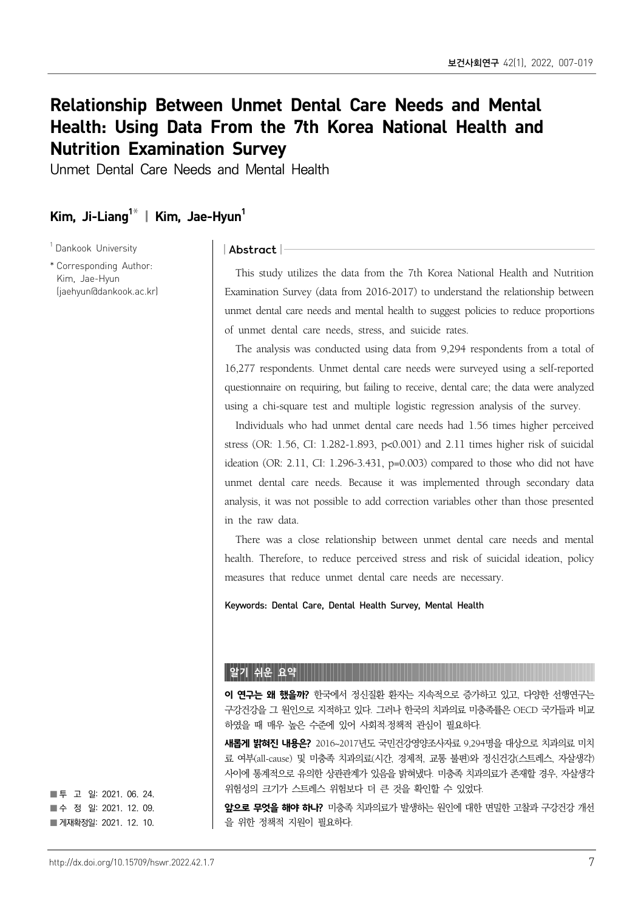# Relationship Between Unmet Dental Care Needs and Mental Health: Using Data From the 7th Korea National Health and Nutrition Examination Survey

Unmet Dental Care Needs and Mental Health

## Kim, Ji-Liang<sup>1\*</sup> | Kim, Jae-Hyun<sup>1</sup>

<sup>1</sup> Dankook University

\* Corresponding Author: Kim, Jae-Hyun (jaehyun@dankook.ac.kr)

#### | Abstract |

This study utilizes the data from the 7th Korea National Health and Nutrition Examination Survey (data from 2016-2017) to understand the relationship between unmet dental care needs and mental health to suggest policies to reduce proportions of unmet dental care needs, stress, and suicide rates.

The analysis was conducted using data from 9,294 respondents from a total of 16,277 respondents. Unmet dental care needs were surveyed using a self-reported questionnaire on requiring, but failing to receive, dental care; the data were analyzed using a chi-square test and multiple logistic regression analysis of the survey.

Individuals who had unmet dental care needs had 1.56 times higher perceived stress (OR: 1.56, CI: 1.282-1.893, p<0.001) and 2.11 times higher risk of suicidal ideation (OR: 2.11, CI: 1.296-3.431, p=0.003) compared to those who did not have unmet dental care needs. Because it was implemented through secondary data analysis, it was not possible to add correction variables other than those presented in the raw data.

There was a close relationship between unmet dental care needs and mental health. Therefore, to reduce perceived stress and risk of suicidal ideation, policy measures that reduce unmet dental care needs are necessary.

Keywords: Dental Care, Dental Health Survey, Mental Health

#### 알기 쉬운 요약

**이 연구는 왜 했을까?** 한국에서 정신질환 환자는 지속적으로 증가하고 있고, 다양한 선행연구는 구강건강을 그 원인으로 지적하고 있다. 그러나 한국의 치과의료 미충족률은 OECD 국가들과 비교 하였을 때 매우 높은 수준에 있어 사회적·정책적 관심이 필요하다.

**새롭게 밝혀진 내용은?** 2016~2017년도 국민건강영양조사자료 9,294명을 대상으로 치과의료 미치 료 여부(all-cause) 및 미충족 치과의료(시간, 경제적, 교통 불편)와 정신건강(스트레스, 자살생각) 사이에 통계적으로 유의한 상관관계가 있음을 밝혀냈다. 미충족 치과의료가 존재할 경우, 자살생각 위험성의 크기가 스트레스 위험보다 더 큰 것을 확인할 수 있었다.

앞으로 무엇을 해야 하나? 미충족 치과의료가 발생하는 원인에 대한 면밀한 고찰과 구강건강 개선 을 위한 정책적 지원이 필요하다.

■ 투 고 일: 2021. 06. 24. ■수 정 일: 2021. 12. 09. ■ 게재확정일: 2021. 12. 10.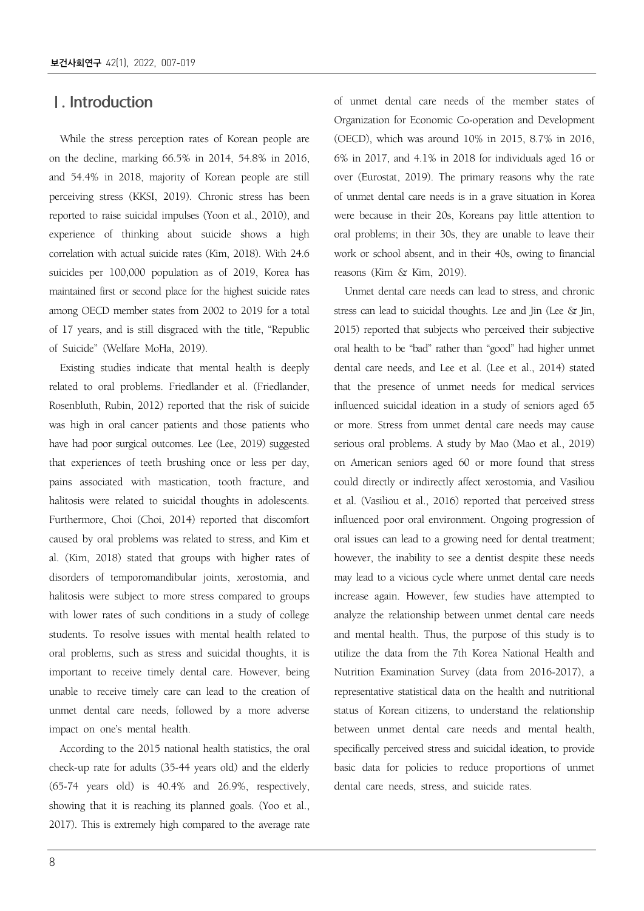### Ⅰ. Introduction

While the stress perception rates of Korean people are on the decline, marking 66.5% in 2014, 54.8% in 2016, and 54.4% in 2018, majority of Korean people are still perceiving stress (KKSI, 2019). Chronic stress has been reported to raise suicidal impulses (Yoon et al., 2010), and experience of thinking about suicide shows a high correlation with actual suicide rates (Kim, 2018). With 24.6 suicides per 100,000 population as of 2019, Korea has maintained first or second place for the highest suicide rates among OECD member states from 2002 to 2019 for a total of 17 years, and is still disgraced with the title, "Republic of Suicide" (Welfare MoHa, 2019).

Existing studies indicate that mental health is deeply related to oral problems. Friedlander et al. (Friedlander, Rosenbluth, Rubin, 2012) reported that the risk of suicide was high in oral cancer patients and those patients who have had poor surgical outcomes. Lee (Lee, 2019) suggested that experiences of teeth brushing once or less per day, pains associated with mastication, tooth fracture, and halitosis were related to suicidal thoughts in adolescents. Furthermore, Choi (Choi, 2014) reported that discomfort caused by oral problems was related to stress, and Kim et al. (Kim, 2018) stated that groups with higher rates of disorders of temporomandibular joints, xerostomia, and halitosis were subject to more stress compared to groups with lower rates of such conditions in a study of college students. To resolve issues with mental health related to oral problems, such as stress and suicidal thoughts, it is important to receive timely dental care. However, being unable to receive timely care can lead to the creation of unmet dental care needs, followed by a more adverse impact on one's mental health.

According to the 2015 national health statistics, the oral check-up rate for adults (35-44 years old) and the elderly (65-74 years old) is 40.4% and 26.9%, respectively, showing that it is reaching its planned goals. (Yoo et al., 2017). This is extremely high compared to the average rate

of unmet dental care needs of the member states of Organization for Economic Co-operation and Development (OECD), which was around 10% in 2015, 8.7% in 2016, 6% in 2017, and 4.1% in 2018 for individuals aged 16 or over (Eurostat, 2019). The primary reasons why the rate of unmet dental care needs is in a grave situation in Korea were because in their 20s, Koreans pay little attention to oral problems; in their 30s, they are unable to leave their work or school absent, and in their 40s, owing to financial reasons (Kim & Kim, 2019).

Unmet dental care needs can lead to stress, and chronic stress can lead to suicidal thoughts. Lee and Jin (Lee & Jin, 2015) reported that subjects who perceived their subjective oral health to be "bad" rather than "good" had higher unmet dental care needs, and Lee et al. (Lee et al., 2014) stated that the presence of unmet needs for medical services influenced suicidal ideation in a study of seniors aged 65 or more. Stress from unmet dental care needs may cause serious oral problems. A study by Mao (Mao et al., 2019) on American seniors aged 60 or more found that stress could directly or indirectly affect xerostomia, and Vasiliou et al. (Vasiliou et al., 2016) reported that perceived stress influenced poor oral environment. Ongoing progression of oral issues can lead to a growing need for dental treatment; however, the inability to see a dentist despite these needs may lead to a vicious cycle where unmet dental care needs increase again. However, few studies have attempted to analyze the relationship between unmet dental care needs and mental health. Thus, the purpose of this study is to utilize the data from the 7th Korea National Health and Nutrition Examination Survey (data from 2016-2017), a representative statistical data on the health and nutritional status of Korean citizens, to understand the relationship between unmet dental care needs and mental health, specifically perceived stress and suicidal ideation, to provide basic data for policies to reduce proportions of unmet dental care needs, stress, and suicide rates.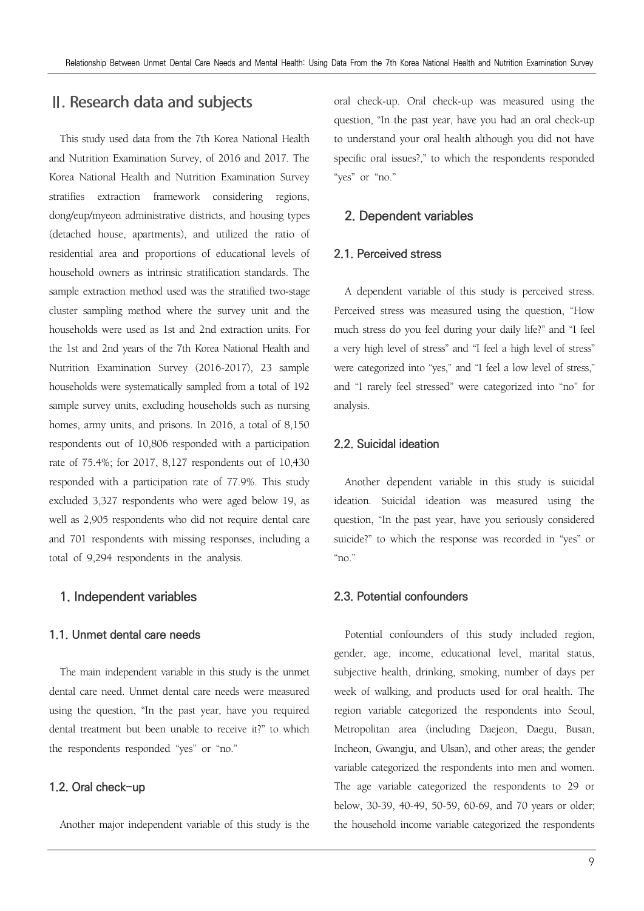### Ⅱ. Research data and subjects

This study used data from the 7th Korea National Health and Nutrition Examination Survey, of 2016 and 2017. The Korea National Health and Nutrition Examination Survey stratifies extraction framework considering regions, dong/eup/myeon administrative districts, and housing types (detached house, apartments), and utilized the ratio of residential area and proportions of educational levels of household owners as intrinsic stratification standards. The sample extraction method used was the stratified two-stage cluster sampling method where the survey unit and the households were used as 1st and 2nd extraction units. For the 1st and 2nd years of the 7th Korea National Health and Nutrition Examination Survey (2016-2017), 23 sample households were systematically sampled from a total of 192 sample survey units, excluding households such as nursing homes, army units, and prisons. In 2016, a total of 8,150 respondents out of 10,806 responded with a participation rate of 75.4%; for 2017, 8,127 respondents out of 10,430 responded with a participation rate of 77.9%. This study excluded 3,327 respondents who were aged below 19, as well as 2,905 respondents who did not require dental care and 701 respondents with missing responses, including a total of 9,294 respondents in the analysis.

#### **1. Independent variables**

#### **1.1. Unmet dental care needs**

The main independent variable in this study is the unmet dental care need. Unmet dental care needs were measured using the question, "In the past year, have you required dental treatment but been unable to receive it?" to which the respondents responded "yes" or "no."

#### **1.2. Oral check-up**

Another major independent variable of this study is the

oral check-up. Oral check-up was measured using the question, "In the past year, have you had an oral check-up to understand your oral health although you did not have specific oral issues?," to which the respondents responded "yes" or "no."

#### **2. Dependent variables**

#### **2.1. Perceived stress**

A dependent variable of this study is perceived stress. Perceived stress was measured using the question, "How much stress do you feel during your daily life?" and "I feel a very high level of stress" and "I feel a high level of stress" were categorized into "yes," and "I feel a low level of stress," and "I rarely feel stressed" were categorized into "no" for analysis.

#### **2.2. Suicidal ideation**

Another dependent variable in this study is suicidal ideation. Suicidal ideation was measured using the question, "In the past year, have you seriously considered suicide?" to which the response was recorded in "yes" or "no."

#### **2.3. Potential confounders**

Potential confounders of this study included region, gender, age, income, educational level, marital status, subjective health, drinking, smoking, number of days per week of walking, and products used for oral health. The region variable categorized the respondents into Seoul, Metropolitan area (including Daejeon, Daegu, Busan, Incheon, Gwangju, and Ulsan), and other areas; the gender variable categorized the respondents into men and women. The age variable categorized the respondents to 29 or below, 30-39, 40-49, 50-59, 60-69, and 70 years or older; the household income variable categorized the respondents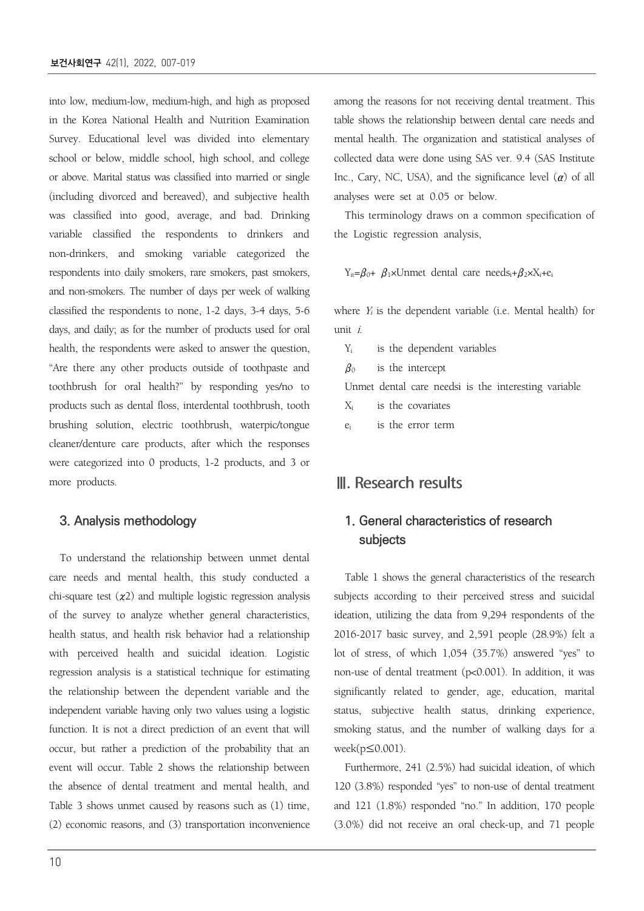into low, medium-low, medium-high, and high as proposed in the Korea National Health and Nutrition Examination Survey. Educational level was divided into elementary school or below, middle school, high school, and college or above. Marital status was classified into married or single (including divorced and bereaved), and subjective health was classified into good, average, and bad. Drinking variable classified the respondents to drinkers and non-drinkers, and smoking variable categorized the respondents into daily smokers, rare smokers, past smokers, and non-smokers. The number of days per week of walking classified the respondents to none, 1-2 days, 3-4 days, 5-6 days, and daily; as for the number of products used for oral health, the respondents were asked to answer the question, "Are there any other products outside of toothpaste and toothbrush for oral health?" by responding yes/no to products such as dental floss, interdental toothbrush, tooth brushing solution, electric toothbrush, waterpic/tongue cleaner/denture care products, after which the responses were categorized into 0 products, 1-2 products, and 3 or more products.

#### **3. Analysis methodology**

To understand the relationship between unmet dental care needs and mental health, this study conducted a chi-square test  $(x2)$  and multiple logistic regression analysis of the survey to analyze whether general characteristics, health status, and health risk behavior had a relationship with perceived health and suicidal ideation. Logistic regression analysis is a statistical technique for estimating the relationship between the dependent variable and the independent variable having only two values using a logistic function. It is not a direct prediction of an event that will occur, but rather a prediction of the probability that an event will occur. Table 2 shows the relationship between the absence of dental treatment and mental health, and Table 3 shows unmet caused by reasons such as (1) time, (2) economic reasons, and (3) transportation inconvenience

among the reasons for not receiving dental treatment. This table shows the relationship between dental care needs and mental health. The organization and statistical analyses of collected data were done using SAS ver. 9.4 (SAS Institute Inc., Cary, NC, USA), and the significance level  $(a)$  of all analyses were set at 0.05 or below.

This terminology draws on a common specification of the Logistic regression analysis,

 $Y_{it} = \beta_0 + \beta_1 \times U$ nmet dental care needs<sub>i</sub>+ $\beta_2 \times X_i + e_i$ 

where  $Y_i$  is the dependent variable (i.e. Mental health) for unit i.

| $Y_i$ is the dependent variables                     |
|------------------------------------------------------|
| $\beta_0$ is the intercept                           |
| Unmet dental care needsi is the interesting variable |
| X <sub>i</sub> is the covariates                     |
| e <sub>i</sub> is the error term                     |

### Ⅲ. Research results

### **1. General characteristics of research subjects**

Table 1 shows the general characteristics of the research subjects according to their perceived stress and suicidal ideation, utilizing the data from 9,294 respondents of the 2016-2017 basic survey, and 2,591 people (28.9%) felt a lot of stress, of which 1,054 (35.7%) answered "yes" to non-use of dental treatment (p<0.001). In addition, it was significantly related to gender, age, education, marital status, subjective health status, drinking experience, smoking status, and the number of walking days for a week(p≤0.001).

Furthermore, 241 (2.5%) had suicidal ideation, of which 120 (3.8%) responded "yes" to non-use of dental treatment and 121 (1.8%) responded "no." In addition, 170 people (3.0%) did not receive an oral check-up, and 71 people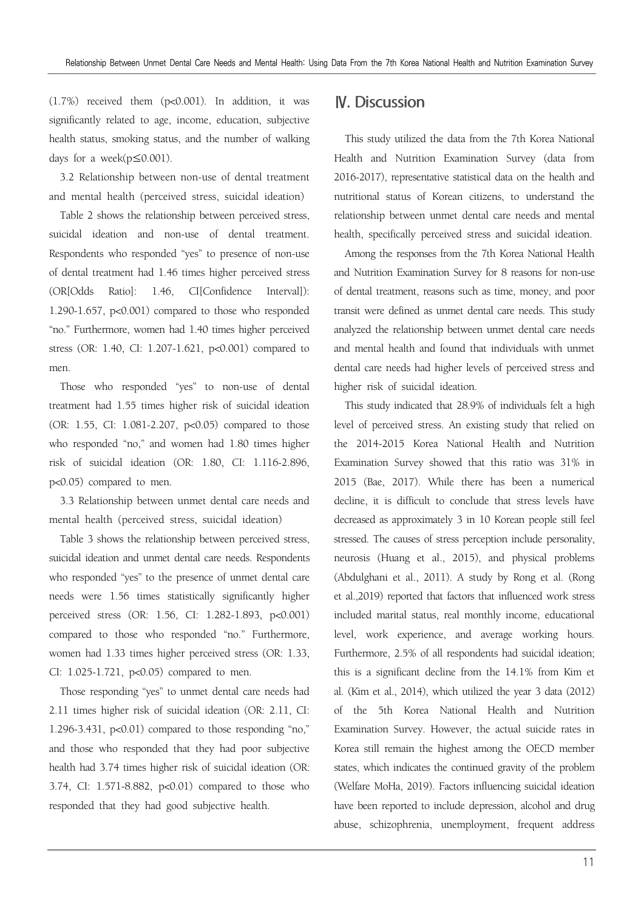(1.7%) received them (p<0.001). In addition, it was significantly related to age, income, education, subjective health status, smoking status, and the number of walking days for a week(p≤0.001).

3.2 Relationship between non-use of dental treatment and mental health (perceived stress, suicidal ideation)

Table 2 shows the relationship between perceived stress, suicidal ideation and non-use of dental treatment. Respondents who responded "yes" to presence of non-use of dental treatment had 1.46 times higher perceived stress (OR[Odds Ratio]: 1.46, CI[Confidence Interval]): 1.290-1.657, p<0.001) compared to those who responded "no." Furthermore, women had 1.40 times higher perceived stress (OR: 1.40, CI: 1.207-1.621, p<0.001) compared to men.

Those who responded "yes" to non-use of dental treatment had 1.55 times higher risk of suicidal ideation (OR: 1.55, CI: 1.081-2.207, p<0.05) compared to those who responded "no," and women had 1.80 times higher risk of suicidal ideation (OR: 1.80, CI: 1.116-2.896, p<0.05) compared to men.

3.3 Relationship between unmet dental care needs and mental health (perceived stress, suicidal ideation)

Table 3 shows the relationship between perceived stress, suicidal ideation and unmet dental care needs. Respondents who responded "yes" to the presence of unmet dental care needs were 1.56 times statistically significantly higher perceived stress (OR: 1.56, CI: 1.282-1.893, p<0.001) compared to those who responded "no." Furthermore, women had 1.33 times higher perceived stress (OR: 1.33, CI: 1.025-1.721, p<0.05) compared to men.

Those responding "yes" to unmet dental care needs had 2.11 times higher risk of suicidal ideation (OR: 2.11, CI: 1.296-3.431, p<0.01) compared to those responding "no," and those who responded that they had poor subjective health had 3.74 times higher risk of suicidal ideation (OR: 3.74, CI: 1.571-8.882, p<0.01) compared to those who responded that they had good subjective health.

### Ⅳ. Discussion

This study utilized the data from the 7th Korea National Health and Nutrition Examination Survey (data from 2016-2017), representative statistical data on the health and nutritional status of Korean citizens, to understand the relationship between unmet dental care needs and mental health, specifically perceived stress and suicidal ideation.

Among the responses from the 7th Korea National Health and Nutrition Examination Survey for 8 reasons for non-use of dental treatment, reasons such as time, money, and poor transit were defined as unmet dental care needs. This study analyzed the relationship between unmet dental care needs and mental health and found that individuals with unmet dental care needs had higher levels of perceived stress and higher risk of suicidal ideation.

This study indicated that 28.9% of individuals felt a high level of perceived stress. An existing study that relied on the 2014-2015 Korea National Health and Nutrition Examination Survey showed that this ratio was 31% in 2015 (Bae, 2017). While there has been a numerical decline, it is difficult to conclude that stress levels have decreased as approximately 3 in 10 Korean people still feel stressed. The causes of stress perception include personality, neurosis (Huang et al., 2015), and physical problems (Abdulghani et al., 2011). A study by Rong et al. (Rong et al.,2019) reported that factors that influenced work stress included marital status, real monthly income, educational level, work experience, and average working hours. Furthermore, 2.5% of all respondents had suicidal ideation; this is a significant decline from the 14.1% from Kim et al. (Kim et al., 2014), which utilized the year 3 data (2012) of the 5th Korea National Health and Nutrition Examination Survey. However, the actual suicide rates in Korea still remain the highest among the OECD member states, which indicates the continued gravity of the problem (Welfare MoHa, 2019). Factors influencing suicidal ideation have been reported to include depression, alcohol and drug abuse, schizophrenia, unemployment, frequent address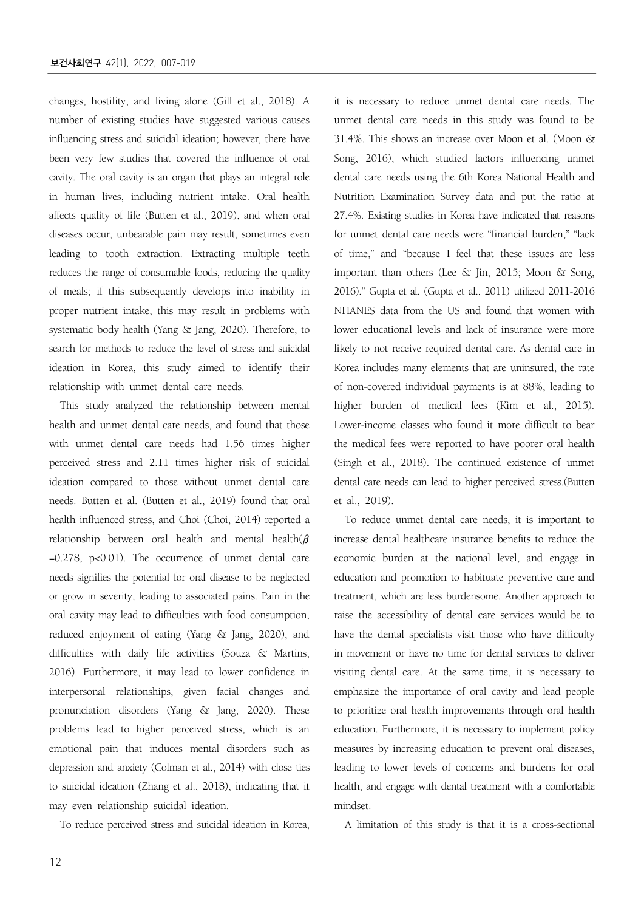changes, hostility, and living alone (Gill et al., 2018). A number of existing studies have suggested various causes influencing stress and suicidal ideation; however, there have been very few studies that covered the influence of oral cavity. The oral cavity is an organ that plays an integral role in human lives, including nutrient intake. Oral health affects quality of life (Butten et al., 2019), and when oral diseases occur, unbearable pain may result, sometimes even leading to tooth extraction. Extracting multiple teeth reduces the range of consumable foods, reducing the quality of meals; if this subsequently develops into inability in proper nutrient intake, this may result in problems with systematic body health (Yang & Jang, 2020). Therefore, to search for methods to reduce the level of stress and suicidal ideation in Korea, this study aimed to identify their relationship with unmet dental care needs.

This study analyzed the relationship between mental health and unmet dental care needs, and found that those with unmet dental care needs had 1.56 times higher perceived stress and 2.11 times higher risk of suicidal ideation compared to those without unmet dental care needs. Butten et al. (Butten et al., 2019) found that oral health influenced stress, and Choi (Choi, 2014) reported a relationship between oral health and mental health( $\beta$ =0.278, p<0.01). The occurrence of unmet dental care needs signifies the potential for oral disease to be neglected or grow in severity, leading to associated pains. Pain in the oral cavity may lead to difficulties with food consumption, reduced enjoyment of eating (Yang & Jang, 2020), and difficulties with daily life activities (Souza & Martins, 2016). Furthermore, it may lead to lower confidence in interpersonal relationships, given facial changes and pronunciation disorders (Yang & Jang, 2020). These problems lead to higher perceived stress, which is an emotional pain that induces mental disorders such as depression and anxiety (Colman et al., 2014) with close ties to suicidal ideation (Zhang et al., 2018), indicating that it may even relationship suicidal ideation.

To reduce perceived stress and suicidal ideation in Korea,

it is necessary to reduce unmet dental care needs. The unmet dental care needs in this study was found to be 31.4%. This shows an increase over Moon et al. (Moon & Song, 2016), which studied factors influencing unmet dental care needs using the 6th Korea National Health and Nutrition Examination Survey data and put the ratio at 27.4%. Existing studies in Korea have indicated that reasons for unmet dental care needs were "financial burden," "lack of time," and "because I feel that these issues are less important than others (Lee & Jin, 2015; Moon & Song, 2016)." Gupta et al. (Gupta et al., 2011) utilized 2011-2016 NHANES data from the US and found that women with lower educational levels and lack of insurance were more likely to not receive required dental care. As dental care in Korea includes many elements that are uninsured, the rate of non-covered individual payments is at 88%, leading to higher burden of medical fees (Kim et al., 2015). Lower-income classes who found it more difficult to bear the medical fees were reported to have poorer oral health (Singh et al., 2018). The continued existence of unmet dental care needs can lead to higher perceived stress.(Butten et al., 2019).

To reduce unmet dental care needs, it is important to increase dental healthcare insurance benefits to reduce the economic burden at the national level, and engage in education and promotion to habituate preventive care and treatment, which are less burdensome. Another approach to raise the accessibility of dental care services would be to have the dental specialists visit those who have difficulty in movement or have no time for dental services to deliver visiting dental care. At the same time, it is necessary to emphasize the importance of oral cavity and lead people to prioritize oral health improvements through oral health education. Furthermore, it is necessary to implement policy measures by increasing education to prevent oral diseases, leading to lower levels of concerns and burdens for oral health, and engage with dental treatment with a comfortable mindset.

A limitation of this study is that it is a cross-sectional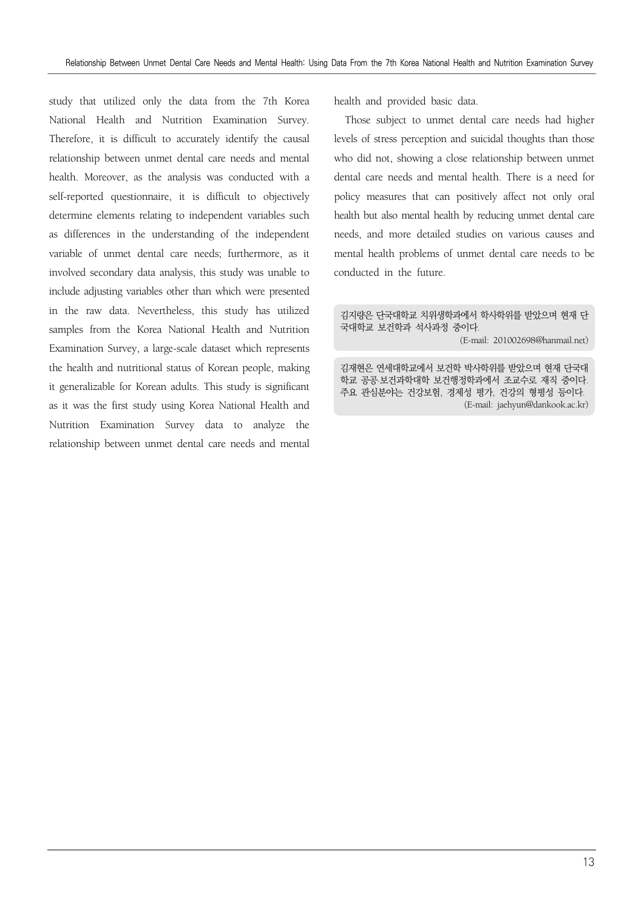study that utilized only the data from the 7th Korea National Health and Nutrition Examination Survey. Therefore, it is difficult to accurately identify the causal relationship between unmet dental care needs and mental health. Moreover, as the analysis was conducted with a self-reported questionnaire, it is difficult to objectively determine elements relating to independent variables such as differences in the understanding of the independent variable of unmet dental care needs; furthermore, as it involved secondary data analysis, this study was unable to include adjusting variables other than which were presented in the raw data. Nevertheless, this study has utilized samples from the Korea National Health and Nutrition Examination Survey, a large-scale dataset which represents the health and nutritional status of Korean people, making it generalizable for Korean adults. This study is significant as it was the first study using Korea National Health and Nutrition Examination Survey data to analyze the relationship between unmet dental care needs and mental

health and provided basic data.

Those subject to unmet dental care needs had higher levels of stress perception and suicidal thoughts than those who did not, showing a close relationship between unmet dental care needs and mental health. There is a need for policy measures that can positively affect not only oral health but also mental health by reducing unmet dental care needs, and more detailed studies on various causes and mental health problems of unmet dental care needs to be conducted in the future.

김지량은 단국대학교 치위생학과에서 학사학위를 받았으며 현재 단 국대학교 보건학과 석사과정 중이다.

(E-mail: 201002698@hanmail.net)

김재현은 연세대학교에서 보건학 박사학위를 받았으며 현재 단국대 학교 공공·보건과학대학 보건행정학과에서 조교수로 재직 중이다. 주요 관심분야는 건강보험, 경제성 평가, 건강의 형평성 등이다. (E-mail: jaehyun@dankook.ac.kr)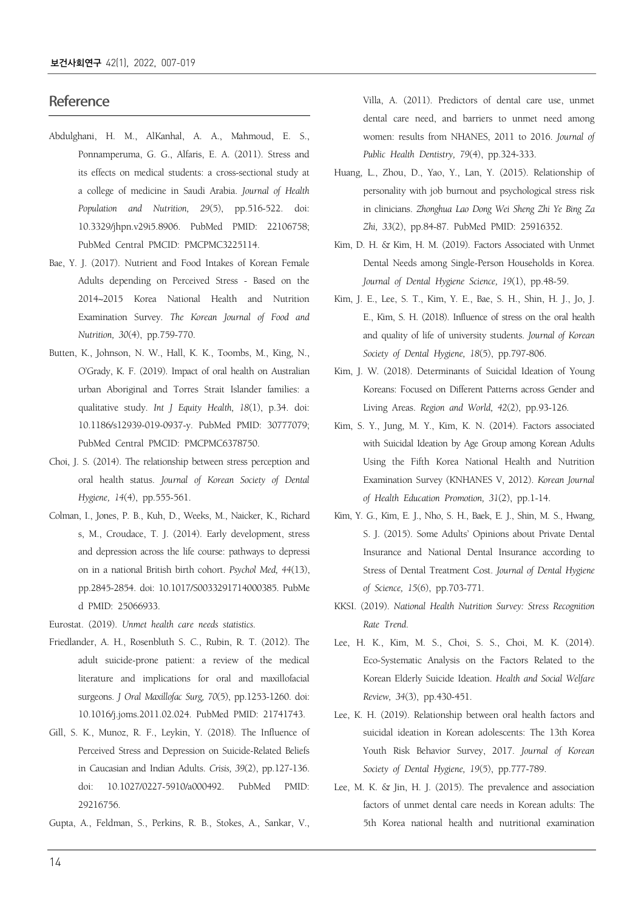### **Reference**

- Abdulghani, H. M., AlKanhal, A. A., Mahmoud, E. S., Ponnamperuma, G. G., Alfaris, E. A. (2011). Stress and its effects on medical students: a cross-sectional study at a college of medicine in Saudi Arabia. *Journal of Health Population and Nutrition, 29*(5), pp.516-522. doi: 10.3329/jhpn.v29i5.8906. PubMed PMID: 22106758; PubMed Central PMCID: PMCPMC3225114.
- Bae, Y. J. (2017). Nutrient and Food Intakes of Korean Female Adults depending on Perceived Stress - Based on the 2014~2015 Korea National Health and Nutrition Examination Survey. *The Korean Journal of Food and Nutrition, 30*(4), pp.759-770.
- Butten, K., Johnson, N. W., Hall, K. K., Toombs, M., King, N., O'Grady, K. F. (2019). Impact of oral health on Australian urban Aboriginal and Torres Strait Islander families: a qualitative study. *Int J Equity Health, 18*(1), p.34. doi: 10.1186/s12939-019-0937-y. PubMed PMID: 30777079; PubMed Central PMCID: PMCPMC6378750.
- Choi, J. S. (2014). The relationship between stress perception and oral health status. *Journal of Korean Society of Dental Hygiene, 14*(4), pp.555-561.
- Colman, I., Jones, P. B., Kuh, D., Weeks, M., Naicker, K., Richard s, M., Croudace, T. J. (2014). Early development, stress and depression across the life course: pathways to depressi on in a national British birth cohort. *Psychol Med, 44*(13), pp.2845-2854. doi: 10.1017/S0033291714000385. PubMe d PMID: 25066933.
- Eurostat. (2019). *Unmet health care needs statistics*.
- Friedlander, A. H., Rosenbluth S. C., Rubin, R. T. (2012). The adult suicide-prone patient: a review of the medical literature and implications for oral and maxillofacial surgeons. *J Oral Maxillofac Surg, 70*(5), pp.1253-1260. doi: 10.1016/j.joms.2011.02.024. PubMed PMID: 21741743.
- Gill, S. K., Munoz, R. F., Leykin, Y. (2018). The Influence of Perceived Stress and Depression on Suicide-Related Beliefs in Caucasian and Indian Adults. *Crisis, 39*(2), pp.127-136. doi: 10.1027/0227-5910/a000492. PubMed PMID: 29216756.
- Gupta, A., Feldman, S., Perkins, R. B., Stokes, A., Sankar, V.,

Villa, A. (2011). Predictors of dental care use, unmet dental care need, and barriers to unmet need among women: results from NHANES, 2011 to 2016. *Journal of Public Health Dentistry, 79*(4), pp.324-333.

- Huang, L., Zhou, D., Yao, Y., Lan, Y. (2015). Relationship of personality with job burnout and psychological stress risk in clinicians. *Zhonghua Lao Dong Wei Sheng Zhi Ye Bing Za Zhi, 33*(2), pp.84-87. PubMed PMID: 25916352.
- Kim, D. H. & Kim, H. M. (2019). Factors Associated with Unmet Dental Needs among Single-Person Households in Korea. *Journal of Dental Hygiene Science, 19*(1), pp.48-59.
- Kim, J. E., Lee, S. T., Kim, Y. E., Bae, S. H., Shin, H. J., Jo, J. E., Kim, S. H. (2018). Influence of stress on the oral health and quality of life of university students. *Journal of Korean Society of Dental Hygiene, 18*(5), pp.797-806.
- Kim, J. W. (2018). Determinants of Suicidal Ideation of Young Koreans: Focused on Different Patterns across Gender and Living Areas. *Region and World, 42*(2), pp.93-126.
- Kim, S. Y., Jung, M. Y., Kim, K. N. (2014). Factors associated with Suicidal Ideation by Age Group among Korean Adults Using the Fifth Korea National Health and Nutrition Examination Survey (KNHANES V, 2012). *Korean Journal of Health Education Promotion, 31*(2), pp.1-14.
- Kim, Y. G., Kim, E. J., Nho, S. H., Baek, E. J., Shin, M. S., Hwang, S. J. (2015). Some Adults' Opinions about Private Dental Insurance and National Dental Insurance according to Stress of Dental Treatment Cost. *Journal of Dental Hygiene of Science, 15*(6), pp.703-771.
- KKSI. (2019). *National Health Nutrition Survey: Stress Recognition Rate Trend*.
- Lee, H. K., Kim, M. S., Choi, S. S., Choi, M. K. (2014). Eco-Systematic Analysis on the Factors Related to the Korean Elderly Suicide Ideation. *Health and Social Welfare Review, 34*(3), pp.430-451.
- Lee, K. H. (2019). Relationship between oral health factors and suicidal ideation in Korean adolescents: The 13th Korea Youth Risk Behavior Survey, 2017. *Journal of Korean Society of Dental Hygiene, 19*(5), pp.777-789.
- Lee, M. K. & Jin, H. J. (2015). The prevalence and association factors of unmet dental care needs in Korean adults: The 5th Korea national health and nutritional examination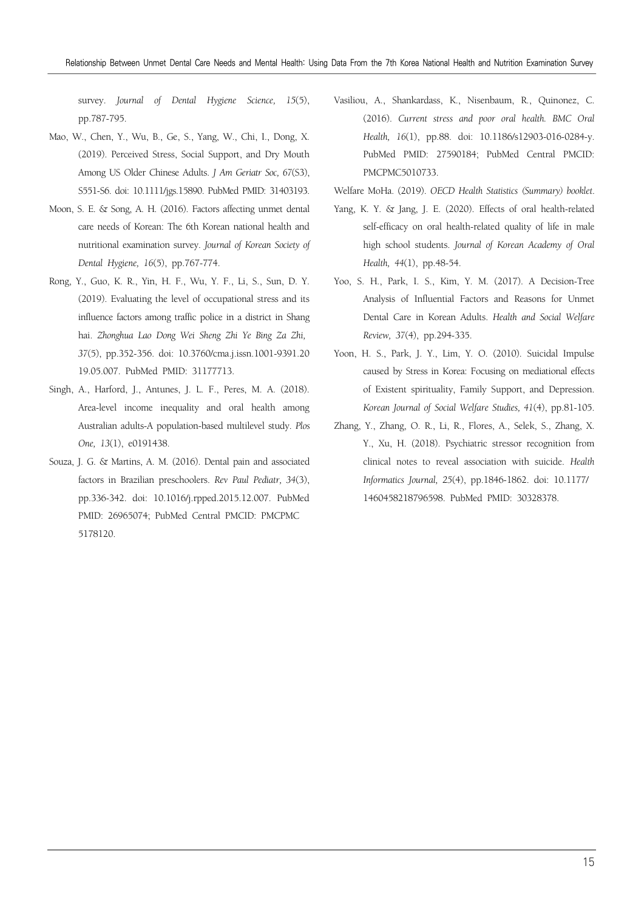survey. *Journal of Dental Hygiene Science, 15*(5), pp.787-795.

- Mao, W., Chen, Y., Wu, B., Ge, S., Yang, W., Chi, I., Dong, X. (2019). Perceived Stress, Social Support, and Dry Mouth Among US Older Chinese Adults. *J Am Geriatr Soc, 67*(S3), S551-S6. doi: 10.1111/jgs.15890. PubMed PMID: 31403193.
- Moon, S. E. & Song, A. H. (2016). Factors affecting unmet dental care needs of Korean: The 6th Korean national health and nutritional examination survey. *Journal of Korean Society of Dental Hygiene, 16*(5), pp.767-774.
- Rong, Y., Guo, K. R., Yin, H. F., Wu, Y. F., Li, S., Sun, D. Y. (2019). Evaluating the level of occupational stress and its influence factors among traffic police in a district in Shang hai. *Zhonghua Lao Dong Wei Sheng Zhi Ye Bing Za Zhi, 37*(5), pp.352-356. doi: 10.3760/cma.j.issn.1001-9391.20 19.05.007. PubMed PMID: 31177713.
- Singh, A., Harford, J., Antunes, J. L. F., Peres, M. A. (2018). Area-level income inequality and oral health among Australian adults-A population-based multilevel study. *Plos One, 13*(1), e0191438.
- Souza, J. G. & Martins, A. M. (2016). Dental pain and associated factors in Brazilian preschoolers. *Rev Paul Pediatr, 34*(3), pp.336-342. doi: 10.1016/j.rpped.2015.12.007. PubMed PMID: 26965074; PubMed Central PMCID: PMCPMC 5178120.
- Vasiliou, A., Shankardass, K., Nisenbaum, R., Quinonez, C. (2016). *Current stress and poor oral health. BMC Oral Health, 16*(1), pp.88. doi: 10.1186/s12903-016-0284-y. PubMed PMID: 27590184; PubMed Central PMCID: PMCPMC5010733.
- Welfare MoHa. (2019). *OECD Health Statistics (Summary) booklet*.
- Yang, K. Y. & Jang, J. E. (2020). Effects of oral health-related self-efficacy on oral health-related quality of life in male high school students. *Journal of Korean Academy of Oral Health, 44*(1), pp.48-54.
- Yoo, S. H., Park, I. S., Kim, Y. M. (2017). A Decision-Tree Analysis of Influential Factors and Reasons for Unmet Dental Care in Korean Adults. *Health and Social Welfare Review, 37*(4), pp.294-335.
- Yoon, H. S., Park, J. Y., Lim, Y. O. (2010). Suicidal Impulse caused by Stress in Korea: Focusing on mediational effects of Existent spirituality, Family Support, and Depression. *Korean Journal of Social Welfare Studies, 41*(4), pp.81-105.
- Zhang, Y., Zhang, O. R., Li, R., Flores, A., Selek, S., Zhang, X. Y., Xu, H. (2018). Psychiatric stressor recognition from clinical notes to reveal association with suicide. *Health Informatics Journal, 25*(4), pp.1846-1862. doi: 10.1177/ 1460458218796598. PubMed PMID: 30328378.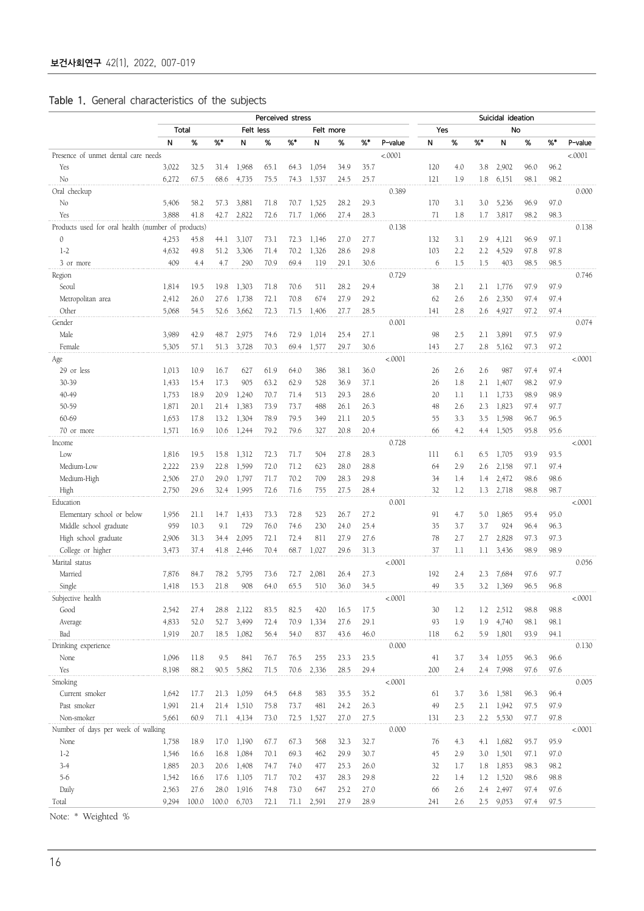|  | Table 1. General characteristics of the subjects |  |  |
|--|--------------------------------------------------|--|--|
|  |                                                  |  |  |

|                                                    |       |       |      |             | Perceived stress |      |            |      |      |         | Suicidal ideation |     |     |           |      |      |         |
|----------------------------------------------------|-------|-------|------|-------------|------------------|------|------------|------|------|---------|-------------------|-----|-----|-----------|------|------|---------|
|                                                    | Total |       |      | Felt less   |                  |      | Felt more  |      |      |         | Yes               |     |     | No        |      |      |         |
|                                                    | N     | %     | %    | N           | %                | %    | N          | %    | %*   | P-value | N                 | %   | %*  | N         | %    | %*   | P-value |
| Presence of unmet dental care needs                |       |       |      |             |                  |      |            |      |      | < .0001 |                   |     |     |           |      |      | < 0.001 |
| Yes                                                | 3,022 | 32.5  | 31.4 | 1,968       | 65.1             | 64.3 | 1,054      | 34.9 | 35.7 |         | 120               | 4.0 | 3.8 | 2,902     | 96.0 | 96.2 |         |
| No                                                 | 6,272 | 67.5  | 68.6 | 4,735       | 75.5             | 74.3 | 1,537      | 24.5 | 25.7 |         | 121               | 1.9 | 1.8 | 6,151     | 98.1 | 98.2 |         |
| Oral checkup                                       |       |       |      |             |                  |      |            |      |      | 0.389   |                   |     |     |           |      |      | 0.000   |
| No                                                 | 5,406 | 58.2  | 57.3 | 3,881       | 71.8             | 70.7 | 1,525      | 28.2 | 29.3 |         | 170               | 3.1 | 3.0 | 5,236     | 96.9 | 97.0 |         |
| Yes                                                | 3,888 | 41.8  | 42.7 | 2,822       | 72.6             | 71.7 | 1,066      | 27.4 | 28.3 |         | 71                | 1.8 | 1.7 | 3,817     | 98.2 | 98.3 |         |
| Products used for oral health (number of products) |       |       |      |             |                  |      |            |      |      | 0.138   |                   |     |     |           |      |      | 0.138   |
| 0                                                  | 4,253 | 45.8  | 44.1 | 3,107       | 73.1             | 72.3 | 1,146      | 27.0 | 27.7 |         | 132               | 3.1 | 2.9 | 4,121     | 96.9 | 97.1 |         |
| $1-2$                                              | 4,632 | 49.8  | 51.2 | 3,306       | 71.4             | 70.2 | 1,326      | 28.6 | 29.8 |         | 103               | 2.2 | 2.2 | 4,529     | 97.8 | 97.8 |         |
| 3 or more                                          | 409   | 4.4   | 4.7  | 290         | 70.9             | 69.4 | 119        | 29.1 | 30.6 |         | 6                 | 1.5 | 1.5 | 403       | 98.5 | 98.5 |         |
| Region                                             |       |       |      |             |                  |      |            |      |      | 0.729   |                   |     |     |           |      |      | 0.746   |
| Seoul                                              | 1,814 | 19.5  | 19.8 | 1,303       | 71.8             | 70.6 | 511        | 28.2 | 29.4 |         | 38                | 2.1 | 2.1 | 1,776     | 97.9 | 97.9 |         |
| Metropolitan area                                  | 2,412 | 26.0  | 27.6 | 1,738       | 72.1             | 70.8 | 674        | 27.9 | 29.2 |         | 62                | 2.6 | 2.6 | 2,350     | 97.4 | 97.4 |         |
| Other                                              | 5,068 | 54.5  | 52.6 | 3,662       | 72.3             | 71.5 | 1,406      | 27.7 | 28.5 |         | 141               | 2.8 | 2.6 | 4,927     | 97.2 | 97.4 |         |
| Gender                                             |       |       |      |             |                  |      |            |      |      | 0.001   |                   |     |     |           |      |      | 0.074   |
| Male                                               | 3,989 | 42.9  | 48.7 | 2,975       | 74.6             | 72.9 | 1,014      | 25.4 | 27.1 |         | 98                | 2.5 | 2.1 | 3,891     | 97.5 | 97.9 |         |
| Female                                             | 5,305 | 57.1  | 51.3 | 3,728       | 70.3             | 69.4 | 1,577      | 29.7 | 30.6 |         | 143               | 2.7 | 2.8 | 5,162     | 97.3 | 97.2 |         |
| Age                                                |       |       |      |             |                  |      |            |      |      | < .0001 |                   |     |     |           |      |      | < .0001 |
| 29 or less                                         | 1,013 | 10.9  | 16.7 | 627         | 61.9             | 64.0 | 386        | 38.1 | 36.0 |         | 26                | 2.6 | 2.6 | 987       | 97.4 | 97.4 |         |
| 30-39                                              | 1,433 | 15.4  | 17.3 | 905         | 63.2             | 62.9 | 528        | 36.9 | 37.1 |         | 26                | 1.8 | 2.1 | 1,407     | 98.2 | 97.9 |         |
| 40-49                                              | 1,753 | 18.9  | 20.9 | 1,240       | 70.7             | 71.4 | 513        | 29.3 | 28.6 |         | 20                | 1.1 | 1.1 | 1,733     | 98.9 | 98.9 |         |
| 50-59                                              | 1,871 | 20.1  | 21.4 | 1,383       | 73.9             | 73.7 | 488        | 26.1 | 26.3 |         | 48                | 2.6 | 2.3 | 1,823     | 97.4 | 97.7 |         |
| 60-69                                              | 1,653 | 17.8  | 13.2 | 1,304       | 78.9             | 79.5 | 349        | 21.1 | 20.5 |         | 55                | 3.3 | 3.5 | 1,598     | 96.7 | 96.5 |         |
| 70 or more                                         | 1,571 | 16.9  | 10.6 | 1,244       | 79.2             | 79.6 | 327        | 20.8 | 20.4 |         | 66                | 4.2 | 4.4 | 1,505     | 95.8 | 95.6 |         |
| Income                                             |       |       |      |             |                  |      |            |      |      | 0.728   |                   |     |     |           |      |      | < .0001 |
| Low                                                | 1,816 | 19.5  | 15.8 | 1,312       | 72.3             | 71.7 | 504        | 27.8 | 28.3 |         | 111               | 6.1 | 6.5 | 1,705     | 93.9 | 93.5 |         |
| Medium-Low                                         | 2,222 | 23.9  | 22.8 | 1,599       | 72.0             | 71.2 | 623        | 28.0 | 28.8 |         | 64                | 2.9 | 2.6 | 2,158     | 97.1 | 97.4 |         |
| Medium-High                                        | 2,506 | 27.0  | 29.0 | 1,797       | 71.7             | 70.2 | 709        | 28.3 | 29.8 |         | 34                | 1.4 | 1.4 | 2,472     | 98.6 | 98.6 |         |
| High                                               | 2,750 | 29.6  | 32.4 | 1,995       | 72.6             | 71.6 | 755        | 27.5 | 28.4 |         | 32                | 1.2 | 1.3 | 2,718     | 98.8 | 98.7 |         |
| Education                                          |       |       |      |             |                  |      |            |      |      | 0.001   |                   |     |     |           |      |      | < .0001 |
| Elementary school or below                         | 1,956 | 21.1  | 14.7 | 1,433       | 73.3             | 72.8 | 523        | 26.7 | 27.2 |         | 91                | 4.7 | 5.0 | 1,865     | 95.4 | 95.0 |         |
| Middle school graduate                             | 959   | 10.3  | 9.1  | 729         | 76.0             | 74.6 | 230        | 24.0 | 25.4 |         | 35                | 3.7 | 3.7 | 924       | 96.4 | 96.3 |         |
| High school graduate                               | 2,906 | 31.3  | 34.4 | 2,095       | 72.1             | 72.4 | 811        | 27.9 | 27.6 |         | 78                | 2.7 | 2.7 | 2,828     | 97.3 | 97.3 |         |
| College or higher                                  | 3,473 | 37.4  | 41.8 | 2,446       | 70.4             | 68.7 | 1,027      | 29.6 | 31.3 |         | 37                | 1.1 | 1.1 | 3,436     | 98.9 | 98.9 |         |
| Marital status                                     |       |       |      |             |                  |      |            |      |      | < .0001 |                   |     |     |           |      |      | 0.056   |
| Married                                            | 7,876 | 84.7  | 78.2 | 5,795       | 73.6             | 72.7 | 2,081      | 26.4 | 27.3 |         | 192               | 2.4 | 2.3 | 7,684     | 97.6 | 97.7 |         |
| Single                                             | 1,418 | 15.3  | 21.8 | 908         | 64.0             | 65.5 | 510        | 36.0 | 34.5 |         | 49                | 3.5 | 3.2 | 1,369     | 96.5 | 96.8 |         |
| Subjective health                                  |       |       |      |             |                  |      |            |      |      | <.0001  |                   |     |     |           |      |      | <.0001  |
| Good                                               | 2,542 | 27.4  | 28.8 | 2,122       | 83.5             | 82.5 | 420        | 16.5 | 17.5 |         | 30                | 1.2 | 1.2 | 2,512     | 98.8 | 98.8 |         |
| Average                                            | 4,833 | 52.0  | 52.7 | 3,499       | 72.4             | 70.9 | 1,334      | 27.6 | 29.1 |         | 93                | 1.9 | 1.9 | 4,740     | 98.1 | 98.1 |         |
| Bad                                                | 1,919 | 20.7  | 18.5 | 1,082       | 56.4             | 54.0 | 837        | 43.6 | 46.0 |         | 118               | 6.2 | 5.9 | 1,801     | 93.9 | 94.1 |         |
| Drinking experience                                |       |       |      |             |                  |      |            |      |      | 0.000   |                   |     |     |           |      |      | 0.130   |
| None                                               | 1,096 | 11.8  | 9.5  | 841         | 76.7             | 76.5 | 255        | 23.3 | 23.5 |         | 41                | 3.7 |     | 3.4 1,055 | 96.3 | 96.6 |         |
| Yes                                                | 8,198 | 88.2  |      | 90.5 5,862  | 71.5             |      | 70.6 2,336 | 28.5 | 29.4 |         | 200               | 2.4 |     | 2.4 7,998 | 97.6 | 97.6 |         |
| Smoking                                            |       |       |      |             |                  |      |            |      |      | < .0001 |                   |     |     |           |      |      | 0.005   |
| Current smoker                                     | 1,642 | 17.7  |      | 21.3 1,059  | 64.5             | 64.8 | 583        | 35.5 | 35.2 |         | 61                | 3.7 | 3.6 | 1,581     | 96.3 | 96.4 |         |
| Past smoker                                        | 1,991 | 21.4  | 21.4 | 1,510       | 75.8             | 73.7 | 481        | 24.2 | 26.3 |         | 49                | 2.5 | 2.1 | 1,942     | 97.5 | 97.9 |         |
| Non-smoker                                         | 5,661 | 60.9  |      | 71.1 4,134  | 73.0             |      | 72.5 1,527 | 27.0 | 27.5 |         | 131               | 2.3 |     | 2.2 5,530 | 97.7 | 97.8 |         |
| Number of days per week of walking                 |       |       |      |             |                  |      |            |      |      | 0.000   |                   |     |     |           |      |      | < .0001 |
| None                                               | 1,758 | 18.9  | 17.0 | 1,190       | 67.7             | 67.3 | 568        | 32.3 | 32.7 |         | 76                | 4.3 | 4.1 | 1,682     | 95.7 | 95.9 |         |
| $1-2$                                              | 1,546 | 16.6  | 16.8 | 1,084       | 70.1             | 69.3 | 462        | 29.9 | 30.7 |         | 45                | 2.9 | 3.0 | 1,501     | 97.1 | 97.0 |         |
| $3-4$                                              | 1,885 | 20.3  | 20.6 | 1,408       | 74.7             | 74.0 | 477        | 25.3 | 26.0 |         | 32                | 1.7 | 1.8 | 1,853     | 98.3 | 98.2 |         |
| $5 - 6$                                            | 1,542 | 16.6  | 17.6 | 1,105       | 71.7             | 70.2 | 437        | 28.3 | 29.8 |         | 22                | 1.4 | 1.2 | 1,520     | 98.6 | 98.8 |         |
| Daily                                              | 2,563 | 27.6  | 28.0 | 1,916       | 74.8             | 73.0 | 647        | 25.2 | 27.0 |         | 66                | 2.6 | 2.4 | 2,497     | 97.4 | 97.6 |         |
| Total                                              | 9,294 | 100.0 |      | 100.0 6,703 | 72.1             |      | 71.1 2,591 | 27.9 | 28.9 |         | 241               | 2.6 |     | 2.5 9,053 | 97.4 | 97.5 |         |
|                                                    |       |       |      |             |                  |      |            |      |      |         |                   |     |     |           |      |      |         |

Note: \* Weighted %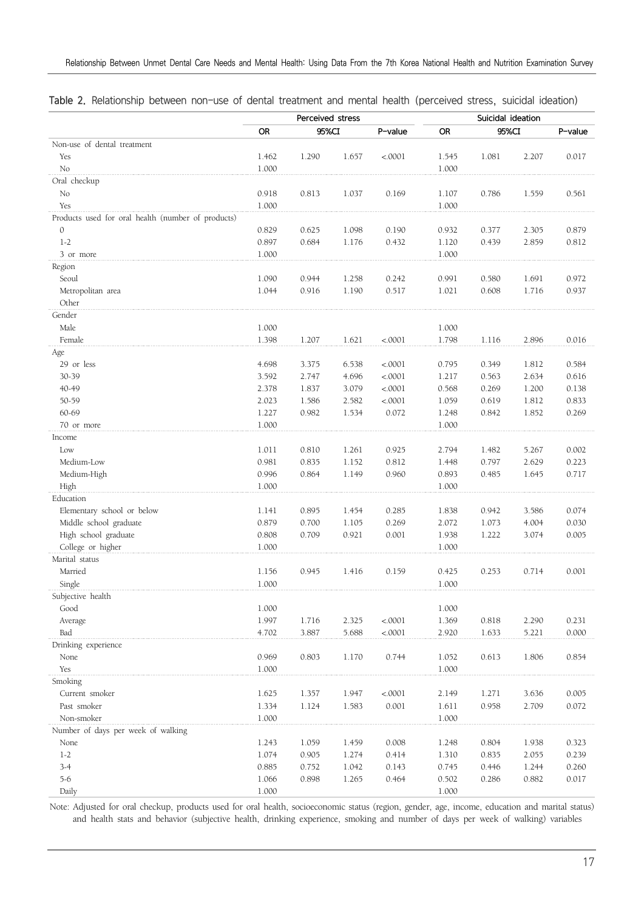|                                                    |                | Perceived stress |                |                  |                | Suicidal ideation |                |                |
|----------------------------------------------------|----------------|------------------|----------------|------------------|----------------|-------------------|----------------|----------------|
|                                                    | <b>OR</b>      | 95%CI            |                | P-value          | <b>OR</b>      | 95%CI             |                | P-value        |
| Non-use of dental treatment                        |                |                  |                |                  |                |                   |                |                |
| Yes                                                | 1.462          | 1.290            | 1.657          | < .0001          | 1.545          | 1.081             | 2.207          | 0.017          |
| No                                                 | 1.000          |                  |                |                  | 1.000          |                   |                |                |
| Oral checkup                                       |                |                  |                |                  |                |                   |                |                |
| No                                                 | 0.918          | 0.813            | 1.037          | 0.169            | 1.107          | 0.786             | 1.559          | 0.561          |
| Yes                                                | 1.000          |                  |                |                  | 1.000          |                   |                |                |
| Products used for oral health (number of products) |                |                  |                |                  |                |                   |                |                |
| $\mathcal{O}$                                      | 0.829          | 0.625            | 1.098          | 0.190            | 0.932          | 0.377             | 2.305          | 0.879          |
| $1-2$                                              | 0.897          | 0.684            | 1.176          | 0.432            | 1.120          | 0.439             | 2.859          | 0.812          |
| 3 or more                                          | 1.000          |                  |                |                  | 1.000          |                   |                |                |
| Region                                             |                |                  |                |                  |                |                   |                |                |
| Seoul                                              | 1.090          | 0.944            | 1.258          | 0.242            | 0.991          | 0.580             | 1.691          | 0.972          |
| Metropolitan area                                  | 1.044          | 0.916            | 1.190          | 0.517            | 1.021          | 0.608             | 1.716          | 0.937          |
| Other                                              |                |                  |                |                  |                |                   |                |                |
| Gender                                             |                |                  |                |                  |                |                   |                |                |
| Male                                               | 1.000          |                  |                |                  | 1.000          |                   |                |                |
| Female                                             | 1.398          | 1.207            | 1.621          | < .0001          | 1.798          | 1.116             | 2.896          | 0.016          |
| Age                                                |                |                  |                |                  |                |                   |                |                |
| 29 or less                                         | 4.698          | 3.375            | 6.538          | < .0001          | 0.795          | 0.349             | 1.812          | 0.584          |
| 30-39                                              | 3.592          | 2.747            | 4.696          | < .0001          | 1.217          | 0.563             | 2.634          | 0.616          |
| 40-49                                              | 2.378          | 1.837            | 3.079          | < .0001          | 0.568          | 0.269             | 1.200          | 0.138          |
| 50-59                                              | 2.023          | 1.586            | 2.582          | < .0001          | 1.059          | 0.619             | 1.812          | 0.833          |
| 60-69                                              | 1.227          | 0.982            | 1.534          | 0.072            | 1.248          | 0.842             | 1.852          | 0.269          |
| 70 or more                                         | 1.000          |                  |                |                  | 1.000          |                   |                |                |
| Income                                             |                |                  |                |                  |                |                   |                |                |
| Low                                                | 1.011          | 0.810            | 1.261          | 0.925            | 2.794          | 1.482             | 5.267          | 0.002          |
| Medium-Low                                         | 0.981          | 0.835            | 1.152          | 0.812            | 1.448          | 0.797             | 2.629          | 0.223          |
| Medium-High                                        | 0.996          | 0.864            | 1.149          | 0.960            | 0.893          | 0.485             | 1.645          | 0.717          |
| High                                               | 1.000          |                  |                |                  | 1.000          |                   |                |                |
| Education                                          |                |                  |                |                  |                |                   |                |                |
| Elementary school or below                         | 1.141          | 0.895            | 1.454          | 0.285            | 1.838          | 0.942             | 3.586          | 0.074          |
| Middle school graduate                             | 0.879          | 0.700            | 1.105          | 0.269            | 2.072          | 1.073             | 4.004          | 0.030          |
| High school graduate                               | 0.808          | 0.709            | 0.921          | 0.001            | 1.938          | 1.222             | 3.074          | 0.005          |
| College or higher                                  | 1.000          |                  |                |                  | 1.000          |                   |                |                |
| Marital status                                     |                |                  |                |                  |                |                   |                |                |
| Married                                            | 1.156          | 0.945            | 1.416          | 0.159            | 0.425          | 0.253             | 0.714          | 0.001          |
| Single                                             | 1.000          |                  |                |                  | 1.000          |                   |                |                |
| Subjective health                                  |                |                  |                |                  |                |                   |                |                |
| Good                                               | 1.000          |                  |                |                  | 1.000          |                   |                |                |
| Average                                            | 1.997          | 1.716            | 2.325          | < .0001          | 1.369          | 0.818             | 2.290          | 0.231          |
| Bad                                                | 4.702          | 3.887            | 5.688          | < .0001          | 2.920          | 1.633             | 5.221          | 0.000          |
| Drinking experience                                |                |                  |                |                  |                |                   |                |                |
| None                                               | 0.969          | 0.803            | 1.170          | 0.744            | 1.052          | 0.613             | 1.806          | 0.854          |
| Yes<br>Smoking                                     | 1.000          |                  |                |                  | 1.000          |                   |                |                |
| Current smoker                                     |                |                  |                |                  |                |                   |                |                |
| Past smoker                                        | 1.625<br>1.334 | 1.357<br>1.124   | 1.947<br>1.583 | < .0001<br>0.001 | 2.149          | 1.271<br>0.958    | 3.636<br>2.709 | 0.005<br>0.072 |
| Non-smoker                                         | 1.000          |                  |                |                  | 1.611<br>1.000 |                   |                |                |
| Number of days per week of walking                 |                |                  |                |                  |                |                   |                |                |
| None                                               | 1.243          | 1.059            | 1.459          | 0.008            | 1.248          | 0.804             | 1.938          | 0.323          |
| $1-2$                                              | 1.074          | 0.905            | 1.274          | 0.414            | 1.310          | 0.835             | 2.055          | 0.239          |
| $3 - 4$                                            | 0.885          | 0.752            | 1.042          | 0.143            | 0.745          | 0.446             | 1.244          | 0.260          |
| $5 - 6$                                            | 1.066          | 0.898            | 1.265          | 0.464            | 0.502          | 0.286             | 0.882          | 0.017          |
| Daily                                              | 1.000          |                  |                |                  | 1.000          |                   |                |                |

|  |  |  | Table 2. Relationship between non-use of dental treatment and mental health (perceived stress, suicidal ideation) |  |  |  |  |  |  |  |  |  |  |  |  |
|--|--|--|-------------------------------------------------------------------------------------------------------------------|--|--|--|--|--|--|--|--|--|--|--|--|
|--|--|--|-------------------------------------------------------------------------------------------------------------------|--|--|--|--|--|--|--|--|--|--|--|--|

Note: Adjusted for oral checkup, products used for oral health, socioeconomic status (region, gender, age, income, education and marital status) and health stats and behavior (subjective health, drinking experience, smoking and number of days per week of walking) variables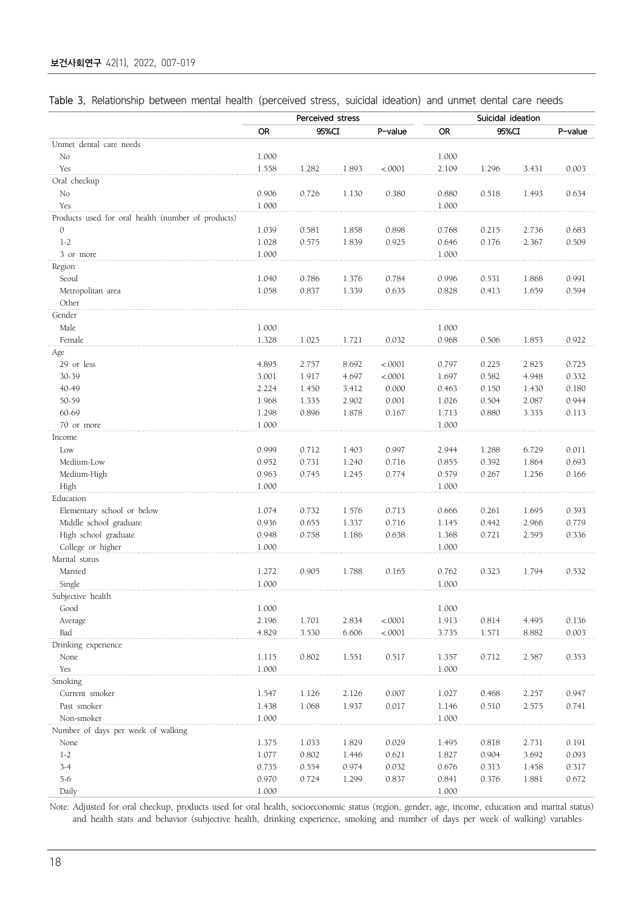|  | Table 3. Relationship between mental health (perceived stress, suicidal ideation) and unmet dental care needs |  |  |  |  |  |  |  |  |  |  |  |  |
|--|---------------------------------------------------------------------------------------------------------------|--|--|--|--|--|--|--|--|--|--|--|--|
|--|---------------------------------------------------------------------------------------------------------------|--|--|--|--|--|--|--|--|--|--|--|--|

|                                                    |           | Perceived stress |       |         |           | Suicidal ideation |       |         |
|----------------------------------------------------|-----------|------------------|-------|---------|-----------|-------------------|-------|---------|
|                                                    | <b>OR</b> | 95%CI            |       | P-value | OR.       | 95%CI             |       | P-value |
| Unmet dental care needs                            |           |                  |       |         |           |                   |       |         |
| No                                                 | 1.000     |                  |       |         | 1.000     |                   |       |         |
| Yes                                                | 1.558     | 1.282            | 1.893 | < .0001 | 2.109     | 1.296             | 3.431 | 0.003   |
| Oral checkup                                       |           |                  |       |         |           |                   |       |         |
| No                                                 | 0.906     | 0.726            | 1.130 | 0.380   | 0.880     | 0.518             | 1.493 | 0.634   |
| Yes                                                | 1.000     |                  |       |         | 1.000     |                   |       |         |
| Products used for oral health (number of products) |           |                  |       |         |           |                   |       |         |
| $\mathcal{O}$                                      | 1.039     | 0.581            | 1.858 | 0.898   | 0.768     | 0.215             | 2.736 | 0.683   |
| $1 - 2$                                            | 1.028     | 0.575            | 1.839 | 0.925   | 0.646     | 0.176             | 2.367 | 0.509   |
| 3 or more                                          | 1.000     |                  |       |         | 1.000     |                   |       |         |
| Region                                             |           |                  |       |         |           |                   |       |         |
| Seoul                                              | 1.040     | 0.786            | 1.376 | 0.784   | 0.996     | 0.531             | 1.868 | 0.991   |
| Metropolitan area                                  | 1.058     | 0.837            | 1.339 | 0.635   | 0.828     | 0.413             | 1.659 | 0.594   |
| Other                                              |           |                  |       |         |           |                   |       |         |
| Gender                                             |           |                  |       |         |           |                   |       |         |
| Male                                               | 1.000     |                  |       |         | 1.000     |                   |       |         |
| Female                                             | 1.328     | 1.025            | 1.721 | 0.032   | 0.968     | 0.506             | 1.853 | 0.922   |
| Age                                                |           |                  |       |         |           |                   |       |         |
| 29 or less                                         | 4.895     | 2.757            | 8.692 | < .0001 | 0.797     | 0.225             | 2.825 | 0.725   |
| 30-39                                              | 3.001     | 1.917            | 4.697 | < .0001 | 1.697     | 0.582             | 4.948 | 0.332   |
| 40-49                                              | 2.224     | 1.450            | 3.412 | 0.000   | 0.463     | 0.150             | 1.430 | 0.180   |
| 50-59                                              | 1.968     | 1.335            | 2.902 | 0.001   | 1.026     | 0.504             | 2.087 | 0.944   |
| 60-69                                              | 1.298     | 0.896            | 1.878 | 0.167   | 1.713     | 0.880             | 3.335 | 0.113   |
| 70 or more                                         | 1.000     |                  |       |         | 1.000     |                   |       |         |
| Income                                             |           |                  |       |         |           |                   |       |         |
| Low                                                | 0.999     | 0.712            | 1.403 | 0.997   | 2.944     | 1.288             | 6.729 | 0.011   |
| Medium-Low                                         | 0.952     | 0.731            | 1.240 | 0.716   | 0.855     | 0.392             | 1.864 | 0.693   |
| Medium-High                                        | 0.963     | 0.745            | 1.245 | 0.774   | 0.579     | 0.267             | 1.256 | 0.166   |
| High                                               | 1.000     |                  |       |         | 1.000     |                   |       |         |
| Education                                          |           |                  |       |         |           |                   |       |         |
| Elementary school or below                         | 1.074     | 0.732            | 1.576 | 0.713   | 0.666     | 0.261             | 1.695 | 0.393   |
| Middle school graduate                             | 0.936     | 0.655            | 1.337 | 0.716   | 1.145     | 0.442             | 2.966 | 0.779   |
| High school graduate                               | 0.948     | 0.758            | 1.186 | 0.638   | 1.368     | 0.721             | 2.595 | 0.336   |
| College or higher                                  | 1.000     |                  |       |         | 1.000     |                   |       |         |
| Marital status                                     |           |                  |       |         |           |                   |       |         |
| Married                                            | 1.272     | 0.905            | 1.788 | 0.165   | 0.762     | 0.323             | 1.794 | 0.532   |
| Single                                             | 1.000     |                  |       |         | 1.000     |                   |       |         |
| Subjective health                                  |           |                  |       |         |           |                   |       |         |
| Good                                               | 1.000     |                  |       |         | 1.000     |                   |       |         |
| Average                                            | 2.196     | 1.701            | 2.834 | < .0001 | 1.913     | 0.814             | 4.495 | 0.136   |
| Bad                                                | 4.829     | 3.530            | 6.606 | < .0001 | 3.735     | 1.571             | 8.882 | 0.003   |
| Drinking experience                                |           |                  |       |         |           |                   |       |         |
| None                                               | 1.115     | 0.802            | 1.551 | 0.517   | 1.357     | 0.712             | 2.587 | 0.353   |
| Yes                                                | 1.000     |                  |       |         | 1.000     |                   |       |         |
| Smoking                                            |           |                  |       |         |           |                   |       |         |
| Current smoker                                     | 1.547     | 1.126            | 2.126 | 0.007   | 1.027     | 0.468             | 2.257 | 0.947   |
| Past smoker                                        | 1.438     | 1.068            | 1.937 | 0.017   | 1.146     | 0.510             | 2.575 | 0.741   |
| Non-smoker                                         | 1.000     |                  |       |         | 1.000     |                   |       |         |
| Number of days per week of walking                 |           |                  |       |         |           |                   |       |         |
| None                                               | 1.375     | 1.033            | 1.829 | 0.029   | 1.495     | 0.818             | 2.731 | 0.191   |
| $1-2$                                              | 1.077     | 0.802            | 1.446 | 0.621   | 1.827     | 0.904             | 3.692 | 0.093   |
| $3 - 4$                                            | 0.735     | 0.554            | 0.974 | 0.032   | 0.676     | 0.313             | 1.458 | 0.317   |
| $5-6$                                              | 0.970     | 0.724            | 1.299 | 0.837   | 0.841     | 0.376             | 1.881 | 0.672   |
| Daily                                              | 1.000     |                  |       |         | $1.000\,$ |                   |       |         |

Note: Adjusted for oral checkup, products used for oral health, socioeconomic status (region, gender, age, income, education and marital status) and health stats and behavior (subjective health, drinking experience, smoking and number of days per week of walking) variables